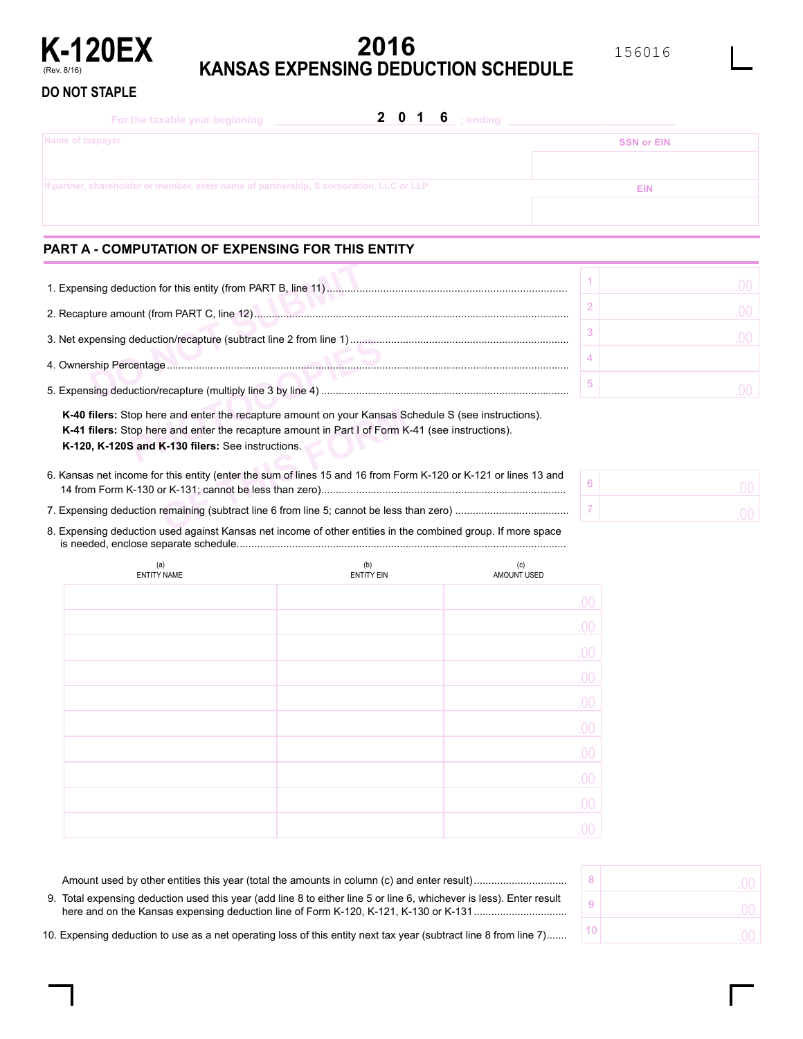

# **2016 KANSAS EXPENSING DEDUCTION SCHEDULE**

### **DO NOT STAPLE**

| For the taxable year beginning                                                          | 2 0 1 6 ; ending |                   |
|-----------------------------------------------------------------------------------------|------------------|-------------------|
| Name of taxpayer                                                                        |                  | <b>SSN or EIN</b> |
|                                                                                         |                  |                   |
| If partner, shareholder or member, enter name of partnership, S corporation, LLC or LLP |                  | EIN               |
|                                                                                         |                  |                   |

# **PART A - COMPUTATION OF EXPENSING FOR THIS ENTITY**

| K-40 filers: Stop here and enter the recapture amount on your Kansas Schedule S (see instructions).<br><b>K-41 filers:</b> Stop here and enter the recapture amount in Part I of Form K-41 (see instructions).<br>K-120, K-120S and K-130 filers: See instructions. |  |  |  |  |  |  |
|---------------------------------------------------------------------------------------------------------------------------------------------------------------------------------------------------------------------------------------------------------------------|--|--|--|--|--|--|

For and enter the recapture amount on your Kansas Section and enter the recapture amount in Part I of Form K<br>**K-130 filers:** See instructions.<br>This entity (enter the sum of lines 15 and 16 from Form K-131; cannot be less t **K-40 filers:** Stop here and enter the recapture amount on your Kansas Schedule S (see instructions). **K-41 filers:** Stop here and enter the recapture amount in Part I of Form K-41 (see instructions). **K-120, K-120S and K-130 filers:** See instructions.

6. Kansas net income for this entity (enter the sum of lines 15 and 16 from Form K-120 or K-121 or lines 13 and 14 from Form K-130 or K-131; cannot be less than zero)....................................................................................

7. Expensing deduction remaining (subtract line 6 from line 5; cannot be less than zero) .......................................

8. Expensing deduction used against Kansas net income of other entities in the combined group. If more space is needed, enclose separate schedule.................................................................................................................

| (a)<br><b>ENTITY NAME</b> | (b)<br><b>ENTITY EIN</b> | (c)<br>AMOUNT USED |
|---------------------------|--------------------------|--------------------|
|                           |                          | .00                |
|                           |                          | .00                |
|                           |                          | .00                |
|                           |                          | .00                |
|                           |                          | .00.               |
|                           |                          | .00.               |
|                           |                          | .00                |
|                           |                          | .00                |
|                           |                          | .00                |
|                           |                          | 00                 |

| 8              | .00     |
|----------------|---------|
| $\overline{9}$ | .00     |
| 10             | Ωſ<br>× |

| 9. Total expensing deduction used this year (add line 8 to either line 5 or line 6, whichever is less). Enter result |
|----------------------------------------------------------------------------------------------------------------------|
| 10. Expensing deduction to use as a net operating loss of this entity next tax year (subtract line 8 from line 7)    |

Amount used by other entities this year (total the amounts in column (c) and enter result)................................

6 7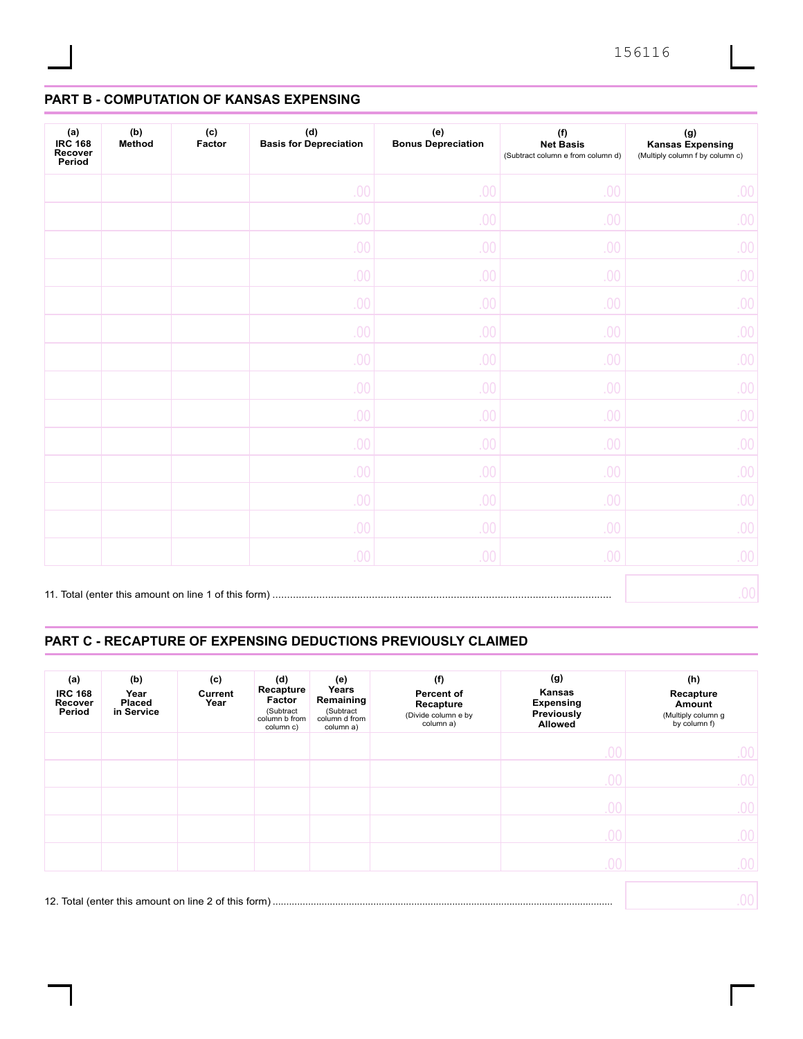## **PART B - COMPUTATION OF KANSAS EXPENSING**

| (a)<br><b>IRC 168</b><br>Recover<br>Period | (b)<br>(c)<br>Method<br>Factor |  | (d)<br><b>Basis for Depreciation</b> | (e)<br><b>Bonus Depreciation</b> | (f)<br><b>Net Basis</b><br>(Subtract column e from column d) | (g)<br><b>Kansas Expensing</b><br>(Multiply column f by column c) |  |
|--------------------------------------------|--------------------------------|--|--------------------------------------|----------------------------------|--------------------------------------------------------------|-------------------------------------------------------------------|--|
|                                            |                                |  | .00                                  | .00                              | .00                                                          | 00.                                                               |  |
|                                            |                                |  | .00                                  | .00                              | .00                                                          | 00.                                                               |  |
|                                            |                                |  | 00                                   | .00                              | .00                                                          | 00.                                                               |  |
|                                            |                                |  | 00.                                  | .00                              | .00                                                          | 00.                                                               |  |
|                                            |                                |  | .00                                  | .00                              | .00                                                          | 00.                                                               |  |
|                                            |                                |  | 00                                   | .00                              | .00                                                          | 00.                                                               |  |
|                                            |                                |  | 00                                   | .00                              | .00                                                          | 00.                                                               |  |
|                                            |                                |  | .00                                  | .00                              | .00                                                          | 00.                                                               |  |
|                                            |                                |  | 00.                                  | .00                              | .00                                                          | 00.                                                               |  |
|                                            |                                |  | .00                                  | .00                              | .00                                                          | 00.                                                               |  |
|                                            |                                |  | 00                                   | .00                              | .00                                                          | 00.                                                               |  |
|                                            |                                |  | 00.                                  | .00                              | .00                                                          | 00.                                                               |  |
|                                            |                                |  | .00                                  | .00                              | .00                                                          | 00.                                                               |  |
|                                            |                                |  | .00 <sub>1</sub>                     | .00                              | 00.                                                          | 00.                                                               |  |
|                                            |                                |  |                                      |                                  |                                                              | .00                                                               |  |

## **PART C - RECAPTURE OF EXPENSING DEDUCTIONS PREVIOUSLY CLAIMED**

| (a)<br><b>IRC 168</b><br>Recover<br>Period | (b)<br>Year<br>Placed<br>in Service | (c)<br>Current<br>Year | (d)<br>Recapture<br>Factor<br>(Subtract<br>column b from<br>column c) | (e)<br>Years<br>Remaining<br>(Subtract<br>column d from<br>column a) | (f)<br>Percent of<br>Recapture<br>(Divide column e by<br>column a) | (g)<br>Kansas<br><b>Expensing</b><br>Previously<br><b>Allowed</b> | (h)<br>Recapture<br>Amount<br>(Multiply column g<br>by column f) |
|--------------------------------------------|-------------------------------------|------------------------|-----------------------------------------------------------------------|----------------------------------------------------------------------|--------------------------------------------------------------------|-------------------------------------------------------------------|------------------------------------------------------------------|
|                                            |                                     |                        |                                                                       |                                                                      |                                                                    | .00.                                                              | .00.                                                             |
|                                            |                                     |                        |                                                                       |                                                                      |                                                                    | .00.                                                              | 00.                                                              |
|                                            |                                     |                        |                                                                       |                                                                      |                                                                    | .00                                                               | .00.                                                             |
|                                            |                                     |                        |                                                                       |                                                                      |                                                                    | .00.                                                              | 00.                                                              |
|                                            |                                     |                        |                                                                       |                                                                      |                                                                    | .00.                                                              | 00.                                                              |
|                                            |                                     |                        |                                                                       |                                                                      |                                                                    |                                                                   | 00                                                               |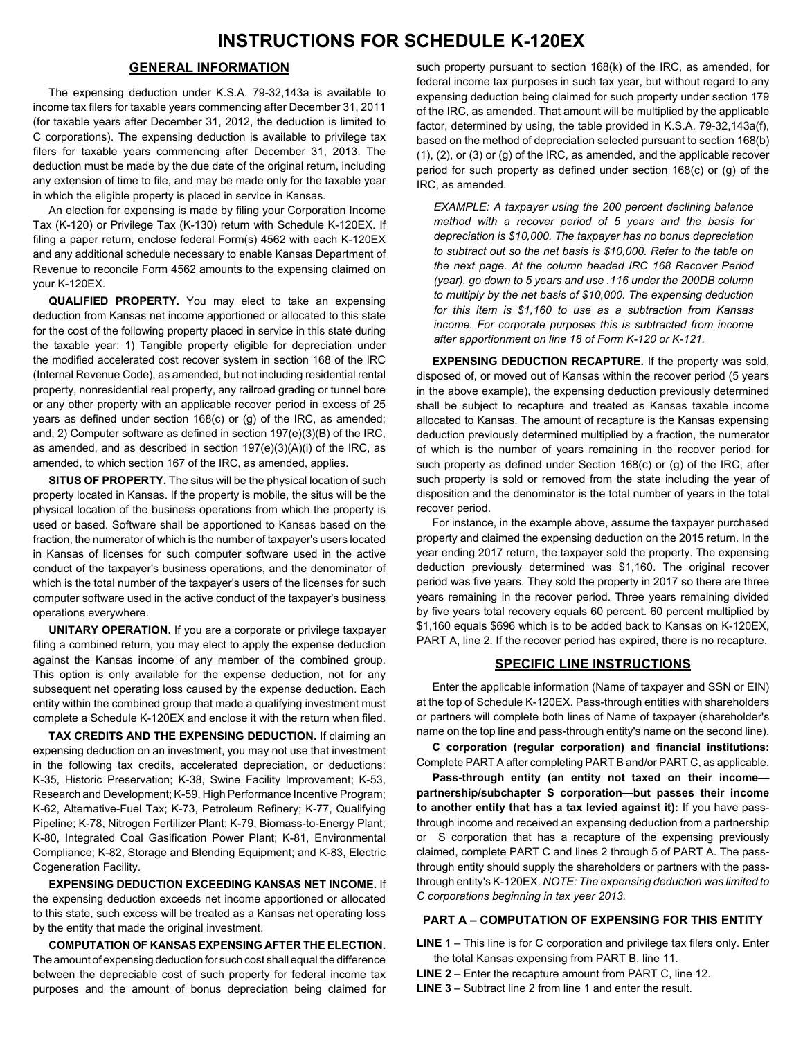### **GENERAL INFORMATION**

The expensing deduction under K.S.A. 79-32,143a is available to income tax filers for taxable years commencing after December 31, 2011 (for taxable years after December 31, 2012, the deduction is limited to C corporations). The expensing deduction is available to privilege tax filers for taxable years commencing after December 31, 2013. The deduction must be made by the due date of the original return, including any extension of time to file, and may be made only for the taxable year in which the eligible property is placed in service in Kansas.

An election for expensing is made by filing your Corporation Income Tax (K-120) or Privilege Tax (K-130) return with Schedule K-120EX. If filing a paper return, enclose federal Form(s) 4562 with each K-120EX and any additional schedule necessary to enable Kansas Department of Revenue to reconcile Form 4562 amounts to the expensing claimed on your K-120EX.

**QUALIFIED PROPERTY.** You may elect to take an expensing deduction from Kansas net income apportioned or allocated to this state for the cost of the following property placed in service in this state during the taxable year: 1) Tangible property eligible for depreciation under the modified accelerated cost recover system in section 168 of the IRC (Internal Revenue Code), as amended, but not including residential rental property, nonresidential real property, any railroad grading or tunnel bore or any other property with an applicable recover period in excess of 25 years as defined under section 168(c) or (g) of the IRC, as amended; and, 2) Computer software as defined in section 197(e)(3)(B) of the IRC, as amended, and as described in section  $197(e)(3)(A)(i)$  of the IRC, as amended, to which section 167 of the IRC, as amended, applies.

**SITUS OF PROPERTY.** The situs will be the physical location of such property located in Kansas. If the property is mobile, the situs will be the physical location of the business operations from which the property is used or based. Software shall be apportioned to Kansas based on the fraction, the numerator of which is the number of taxpayer's users located in Kansas of licenses for such computer software used in the active conduct of the taxpayer's business operations, and the denominator of which is the total number of the taxpayer's users of the licenses for such computer software used in the active conduct of the taxpayer's business operations everywhere.

**UNITARY OPERATION.** If you are a corporate or privilege taxpayer filing a combined return, you may elect to apply the expense deduction against the Kansas income of any member of the combined group. This option is only available for the expense deduction, not for any subsequent net operating loss caused by the expense deduction. Each entity within the combined group that made a qualifying investment must complete a Schedule K-120EX and enclose it with the return when filed.

**TAX CREDITS AND THE EXPENSING DEDUCTION.** If claiming an expensing deduction on an investment, you may not use that investment in the following tax credits, accelerated depreciation, or deductions: K-35, Historic Preservation; K-38, Swine Facility Improvement; K-53, Research and Development; K-59, High Performance Incentive Program; K-62, Alternative-Fuel Tax; K-73, Petroleum Refinery; K-77, Qualifying Pipeline; K-78, Nitrogen Fertilizer Plant; K-79, Biomass-to-Energy Plant; K-80, Integrated Coal Gasification Power Plant; K-81, Environmental Compliance; K-82, Storage and Blending Equipment; and K-83, Electric Cogeneration Facility.

**EXPENSING DEDUCTION EXCEEDING KANSAS NET INCOME.** If the expensing deduction exceeds net income apportioned or allocated to this state, such excess will be treated as a Kansas net operating loss by the entity that made the original investment.

**COMPUTATION OF KANSAS EXPENSING AFTER THE ELECTION.** The amount of expensing deduction for such cost shall equal the difference between the depreciable cost of such property for federal income tax purposes and the amount of bonus depreciation being claimed for

such property pursuant to section 168(k) of the IRC, as amended, for federal income tax purposes in such tax year, but without regard to any expensing deduction being claimed for such property under section 179 of the IRC, as amended. That amount will be multiplied by the applicable factor, determined by using, the table provided in K.S.A. 79-32,143a(f), based on the method of depreciation selected pursuant to section 168(b) (1), (2), or (3) or (g) of the IRC, as amended, and the applicable recover period for such property as defined under section 168(c) or (g) of the IRC, as amended.

*EXAMPLE: A taxpayer using the 200 percent declining balance method with a recover period of 5 years and the basis for depreciation is \$10,000. The taxpayer has no bonus depreciation to subtract out so the net basis is \$10,000. Refer to the table on the next page. At the column headed IRC 168 Recover Period (year), go down to 5 years and use .116 under the 200DB column to multiply by the net basis of \$10,000. The expensing deduction for this item is \$1,160 to use as a subtraction from Kansas income. For corporate purposes this is subtracted from income after apportionment on line 18 of Form K-120 or K-121.*

**EXPENSING DEDUCTION RECAPTURE.** If the property was sold, disposed of, or moved out of Kansas within the recover period (5 years in the above example), the expensing deduction previously determined shall be subject to recapture and treated as Kansas taxable income allocated to Kansas. The amount of recapture is the Kansas expensing deduction previously determined multiplied by a fraction, the numerator of which is the number of years remaining in the recover period for such property as defined under Section 168(c) or (g) of the IRC, after such property is sold or removed from the state including the year of disposition and the denominator is the total number of years in the total recover period.

For instance, in the example above, assume the taxpayer purchased property and claimed the expensing deduction on the 2015 return. In the year ending 2017 return, the taxpayer sold the property. The expensing deduction previously determined was \$1,160. The original recover period was five years. They sold the property in 2017 so there are three years remaining in the recover period. Three years remaining divided by five years total recovery equals 60 percent. 60 percent multiplied by \$1,160 equals \$696 which is to be added back to Kansas on K-120EX, PART A, line 2. If the recover period has expired, there is no recapture.

#### **SPECIFIC LINE INSTRUCTIONS**

Enter the applicable information (Name of taxpayer and SSN or EIN) at the top of Schedule K-120EX. Pass-through entities with shareholders or partners will complete both lines of Name of taxpayer (shareholder's name on the top line and pass-through entity's name on the second line).

**C corporation (regular corporation) and financial institutions:**  Complete PART A after completing PART B and/or PART C, as applicable.

**Pass-through entity (an entity not taxed on their income partnership/subchapter S corporation—but passes their income to another entity that has a tax levied against it):** If you have passthrough income and received an expensing deduction from a partnership or S corporation that has a recapture of the expensing previously claimed, complete PART C and lines 2 through 5 of PART A. The passthrough entity should supply the shareholders or partners with the passthrough entity's K-120EX. *NOTE: The expensing deduction was limited to C corporations beginning in tax year 2013.*

#### **PART A – COMPUTATION OF EXPENSING FOR THIS ENTITY**

**LINE 1** – This line is for C corporation and privilege tax filers only. Enter the total Kansas expensing from PART B, line 11.

**LINE 2** – Enter the recapture amount from PART C, line 12.

**LINE 3** – Subtract line 2 from line 1 and enter the result.